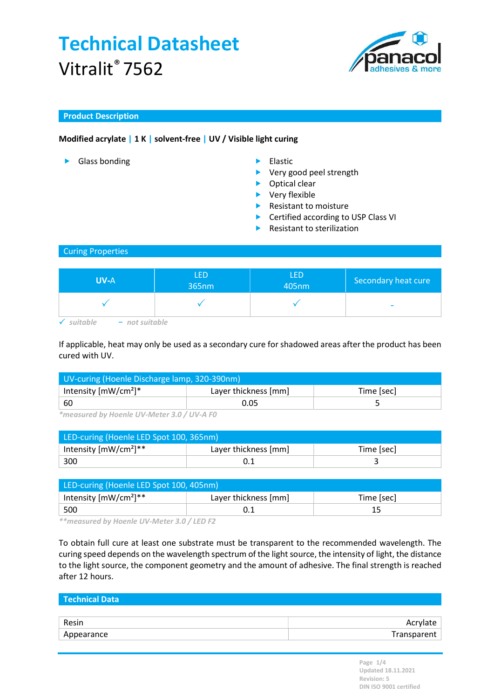

### Product Description

### Modified acrylate | 1 K | solvent-free | UV / Visible light curing

- ▶ Glass bonding **Elastic**
- - ▶ Very good peel strength
	- ▶ Optical clear
	- ▶ Very flexible
	- $\blacktriangleright$  Resistant to moisture
	- ▶ Certified according to USP Class VI
	- **Resistant to sterilization**

#### Curing Properties

| <b>UV-A</b>   | LED<br>365nm | <b>LED</b><br>405nm | Secondary heat cure      |
|---------------|--------------|---------------------|--------------------------|
|               |              |                     | $\overline{\phantom{a}}$ |
| $\n  i$ thala |              |                     |                          |

If applicable, heat may only be used as a secondary cure for shadowed areas after the product has been cured with UV.

| UV-curing (Hoenle Discharge lamp, 320-390nm) |                      |            |  |
|----------------------------------------------|----------------------|------------|--|
| Intensity $[mW/cm^2]^*$                      | Layer thickness [mm] | Time [sec] |  |
| 60                                           | 0.05                 |            |  |

\*measured by Hoenle UV-Meter 3.0 / UV-A F0

| LED-curing (Hoenle LED Spot 100, 365nm) |                      |            |  |
|-----------------------------------------|----------------------|------------|--|
| Intensity $[mW/cm^2]^{**}$              | Layer thickness [mm] | Time [sec] |  |
| 300                                     |                      |            |  |

| LED-curing (Hoenle LED Spot 100, 405nm) |                      |            |  |
|-----------------------------------------|----------------------|------------|--|
| Intensity $[mW/cm^2]^{**}$              | Layer thickness [mm] | Time [sec] |  |
| 500                                     |                      |            |  |

\*\*measured by Hoenle UV-Meter 3.0 / LED F2

To obtain full cure at least one substrate must be transparent to the recommended wavelength. The curing speed depends on the wavelength spectrum of the light source, the intensity of light, the distance to the light source, the component geometry and the amount of adhesive. The final strength is reached after 12 hours.

| Technical Data |             |
|----------------|-------------|
|                |             |
| Resin          | Acrylate    |
| Appearance     | Transparent |
|                |             |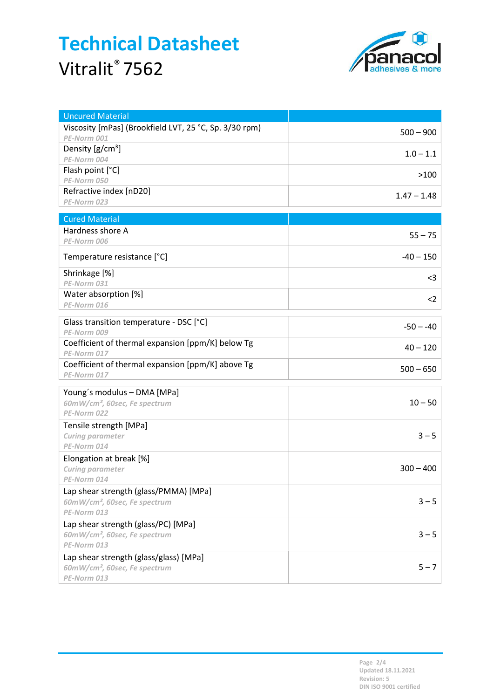

| <b>Uncured Material</b>                                                             |               |
|-------------------------------------------------------------------------------------|---------------|
| Viscosity [mPas] (Brookfield LVT, 25 °C, Sp. 3/30 rpm)                              | $500 - 900$   |
| PE-Norm 001                                                                         |               |
| Density $[g/cm^3]$                                                                  | $1.0 - 1.1$   |
| PE-Norm 004                                                                         |               |
| Flash point [°C]                                                                    | >100          |
| PE-Norm 050                                                                         |               |
| Refractive index [nD20]<br>PE-Norm 023                                              | $1.47 - 1.48$ |
|                                                                                     |               |
| <b>Cured Material</b>                                                               |               |
| Hardness shore A                                                                    | $55 - 75$     |
| PE-Norm 006                                                                         |               |
| Temperature resistance [°C]                                                         | $-40 - 150$   |
| Shrinkage [%]                                                                       | $<$ 3         |
| PE-Norm 031                                                                         |               |
| Water absorption [%]                                                                | $<$ 2         |
| PE-Norm 016                                                                         |               |
| Glass transition temperature - DSC [°C]                                             |               |
| PE-Norm 009                                                                         | $-50 - -40$   |
| Coefficient of thermal expansion [ppm/K] below Tg                                   | $40 - 120$    |
| PE-Norm 017                                                                         |               |
| Coefficient of thermal expansion [ppm/K] above Tg                                   | $500 - 650$   |
| PE-Norm 017                                                                         |               |
| Young's modulus - DMA [MPa]                                                         |               |
| 60mW/cm <sup>2</sup> , 60sec, Fe spectrum                                           | $10 - 50$     |
| PE-Norm 022                                                                         |               |
| Tensile strength [MPa]                                                              |               |
| Curing parameter                                                                    | $3 - 5$       |
| PE-Norm 014                                                                         |               |
| Elongation at break [%]                                                             |               |
| Curing parameter                                                                    | $300 - 400$   |
| PE-Norm 014                                                                         |               |
| Lap shear strength (glass/PMMA) [MPa]                                               |               |
| 60mW/cm <sup>2</sup> , 60sec, Fe spectrum                                           | $3 - 5$       |
| PE-Norm 013                                                                         |               |
| Lap shear strength (glass/PC) [MPa]                                                 |               |
| 60mW/cm <sup>2</sup> , 60sec, Fe spectrum<br>PE-Norm 013                            | $3 - 5$       |
|                                                                                     |               |
| Lap shear strength (glass/glass) [MPa]<br>60mW/cm <sup>2</sup> , 60sec, Fe spectrum | $5 - 7$       |
| PE-Norm 013                                                                         |               |
|                                                                                     |               |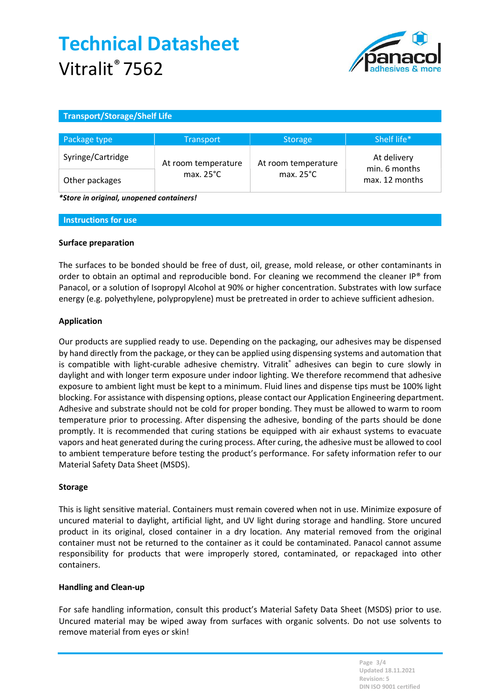

### Transport/Storage/Shelf Life

| Package type      | <b>Transport</b>    | <b>Storage</b>      | Shelf life*                     |
|-------------------|---------------------|---------------------|---------------------------------|
| Syringe/Cartridge | At room temperature | At room temperature | At delivery                     |
| Other packages    | max. $25^{\circ}$ C | max. $25^{\circ}$ C | min. 6 months<br>max. 12 months |

\*Store in original, unopened containers!

#### Instructions for use

#### Surface preparation

The surfaces to be bonded should be free of dust, oil, grease, mold release, or other contaminants in order to obtain an optimal and reproducible bond. For cleaning we recommend the cleaner IP® from Panacol, or a solution of Isopropyl Alcohol at 90% or higher concentration. Substrates with low surface energy (e.g. polyethylene, polypropylene) must be pretreated in order to achieve sufficient adhesion.

#### Application

Our products are supplied ready to use. Depending on the packaging, our adhesives may be dispensed by hand directly from the package, or they can be applied using dispensing systems and automation that is compatible with light-curable adhesive chemistry. Vitralit® adhesives can begin to cure slowly in daylight and with longer term exposure under indoor lighting. We therefore recommend that adhesive exposure to ambient light must be kept to a minimum. Fluid lines and dispense tips must be 100% light blocking. For assistance with dispensing options, please contact our Application Engineering department. Adhesive and substrate should not be cold for proper bonding. They must be allowed to warm to room temperature prior to processing. After dispensing the adhesive, bonding of the parts should be done promptly. It is recommended that curing stations be equipped with air exhaust systems to evacuate vapors and heat generated during the curing process. After curing, the adhesive must be allowed to cool to ambient temperature before testing the product's performance. For safety information refer to our Material Safety Data Sheet (MSDS).

#### Storage

This is light sensitive material. Containers must remain covered when not in use. Minimize exposure of uncured material to daylight, artificial light, and UV light during storage and handling. Store uncured product in its original, closed container in a dry location. Any material removed from the original container must not be returned to the container as it could be contaminated. Panacol cannot assume responsibility for products that were improperly stored, contaminated, or repackaged into other containers.

#### Handling and Clean-up

For safe handling information, consult this product's Material Safety Data Sheet (MSDS) prior to use. Uncured material may be wiped away from surfaces with organic solvents. Do not use solvents to remove material from eyes or skin!